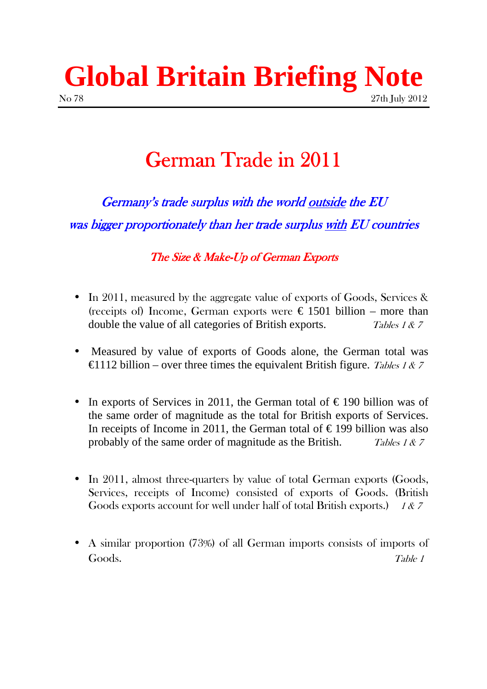# **Global Britain Briefing Note**  No 78 27th July 2012

## German Trade in 2011

 $German<sub>V</sub>$ 's trade surplus with the world outside the  $EU$ was bigger proportionately than her trade surplus with EU countries

The Size & Make-Up of German Exports

- In 2011, measured by the aggregate value of exports of Goods, Services & (receipts of) Income, German exports were  $\epsilon$  1501 billion – more than double the value of all categories of British exports. Tables 1 & 7
- Measured by value of exports of Goods alone, the German total was  $\epsilon$ 1112 billion – over three times the equivalent British figure. Tables 1 & 7
- In exports of Services in 2011, the German total of  $\epsilon$  190 billion was of the same order of magnitude as the total for British exports of Services. In receipts of Income in 2011, the German total of  $\epsilon$  199 billion was also probably of the same order of magnitude as the British. Tables 1  $\& 7$
- In 2011, almost three-quarters by value of total German exports (Goods, Services, receipts of Income) consisted of exports of Goods. (British Goods exports account for well under half of total British exports.) 1 & 7
- A similar proportion (73%) of all German imports consists of imports of Goods. Table 1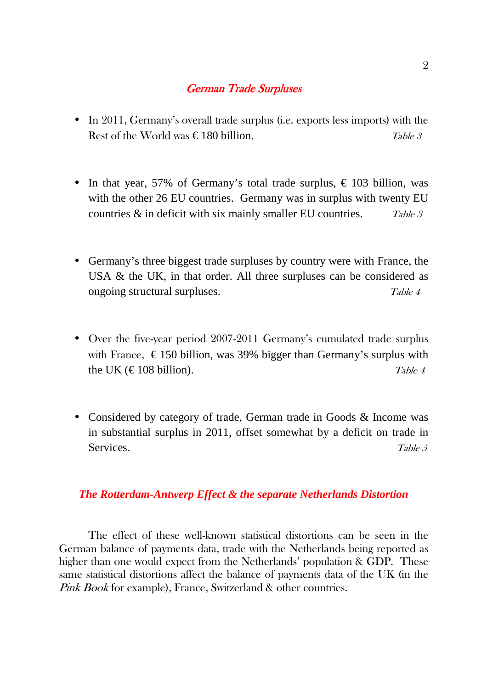#### **German Trade Surpluses**

- In 2011, Germany's overall trade surplus (i.e. exports less imports) with the Rest of the World was  $\epsilon$  180 billion. Table 3
- In that year, 57% of Germany's total trade surplus,  $\epsilon$  103 billion, was with the other 26 EU countries. Germany was in surplus with twenty EU countries  $\&$  in deficit with six mainly smaller EU countries. Table 3
- Germany's three biggest trade surpluses by country were with France, the USA & the UK, in that order. All three surpluses can be considered as ongoing structural surpluses. Table 4
- Over the five-year period 2007-2011 Germany's cumulated trade surplus with France,  $\epsilon$  150 billion, was 39% bigger than Germany's surplus with the UK ( $\in$  108 billion). Table 4
- Considered by category of trade, German trade in Goods & Income was in substantial surplus in 2011, offset somewhat by a deficit on trade in Services. Table 5

#### *The Rotterdam-Antwerp Effect & the separate Netherlands Distortion*

 The effect of these well-known statistical distortions can be seen in the German balance of payments data, trade with the Netherlands being reported as higher than one would expect from the Netherlands' population & GDP. These same statistical distortions affect the balance of payments data of the UK (in the Pink Book for example), France, Switzerland & other countries.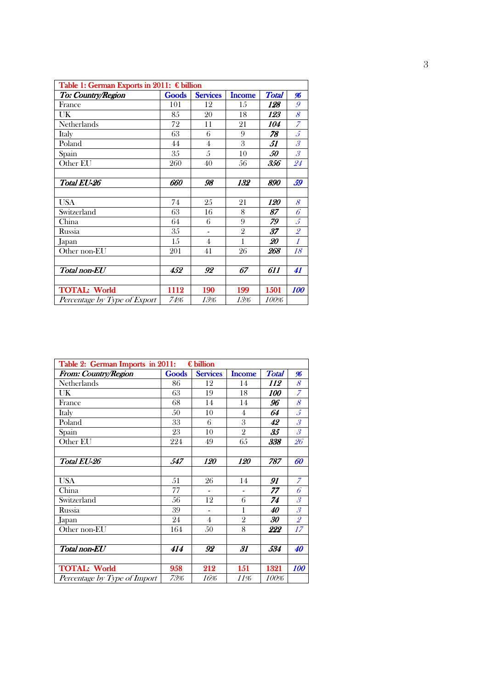| Table 1: German Exports in 2011: € billion |       |                 |                |            |                                                           |  |  |
|--------------------------------------------|-------|-----------------|----------------|------------|-----------------------------------------------------------|--|--|
| To: Country/Region                         | Goods | <b>Services</b> | <b>Income</b>  | Total      | 96                                                        |  |  |
| France                                     | 101   | 12              | 15             | 128        | 9                                                         |  |  |
| UK                                         | 85    | 20              | 18             | 123        | 8                                                         |  |  |
| <b>Netherlands</b>                         | 72    | 11              | 21             | 104        | $\overline{z}$                                            |  |  |
| Italy                                      | 63    | 6               | 9              | 78         | 5                                                         |  |  |
| Poland                                     | 44    | 4               | 3              | 51         | $\mathcal{S}_{\mathcal{S}}$                               |  |  |
| Spain                                      | 35    | 5               | 10             | 50         | $\mathcal{S}% _{M_{1},M_{2}}^{\alpha,\beta}(\varepsilon)$ |  |  |
| Other EU                                   | 260   | 40              | 56             | 356        | 24                                                        |  |  |
|                                            |       |                 |                |            |                                                           |  |  |
| Total EU-26                                | 660   | 98              | 132            | 890        | 59                                                        |  |  |
|                                            |       |                 |                |            |                                                           |  |  |
| <b>USA</b>                                 | 74    | 25              | 21             | <i>120</i> | 8                                                         |  |  |
| Switzerland                                | 63    | 16              | 8              | 87         | 6                                                         |  |  |
| China                                      | 64    | 6               | 9              | 79         | $\mathfrak{F}$                                            |  |  |
| Russia                                     | 35    | ٠               | $\overline{2}$ | 37         | $\overline{\mathcal{L}}$                                  |  |  |
| Japan                                      | 15    | $\overline{4}$  | 1              | 20         | $\mathcal{I}$                                             |  |  |
| Other non-EU                               | 201   | 41              | 26             | 268        | 18                                                        |  |  |
|                                            |       |                 |                |            |                                                           |  |  |
| Total non-EU                               | 452   | 92              | 67             | 611        | 41                                                        |  |  |
|                                            |       |                 |                |            |                                                           |  |  |
| <b>TOTAL: World</b>                        | 1112  | 190             | 199            | 1501       | <i><b>100</b></i>                                         |  |  |
| Percentage by Type of Export               | 74%   | 13%             | 13%            | 100%       |                                                           |  |  |

| €billion<br>Table 2: German Imports in 2011: |       |                 |                |              |                             |  |
|----------------------------------------------|-------|-----------------|----------------|--------------|-----------------------------|--|
| From: Country/Region                         | Goods | <b>Services</b> | <b>Income</b>  | <b>Total</b> | %                           |  |
| Netherlands                                  | 86    | 12              | 14             | 112          | 8                           |  |
| UK                                           | 63    | 19              | 18             | 100          | $\overline{z}$              |  |
| France                                       | 68    | 14              | 14             | 96           | 8                           |  |
| Italy                                        | 50    | 10              | 4              | 64           | $\mathcal{L}$               |  |
| Poland                                       | 33    | 6               | 3              | 42           | $\overline{\mathcal{S}}$    |  |
| Spain                                        | 23    | 10              | $\overline{2}$ | 35           | $\overline{\mathcal{S}}$    |  |
| Other EU                                     | 224   | 49              | 65             | 338          | 26                          |  |
|                                              |       |                 |                |              |                             |  |
| Total EU-26                                  | 547   | <i>120</i>      | <i>120</i>     | 787          | 60                          |  |
|                                              |       |                 |                |              |                             |  |
| <b>USA</b>                                   | 51    | 26              | 14             | 91           | $\overline{z}$              |  |
| China                                        | 77    |                 |                | 77           | 6                           |  |
| Switzerland                                  | 56    | 12              | 6              | 74           | $\mathcal{S}_{\mathcal{S}}$ |  |
| Russia                                       | 39    |                 | 1              | 40           | $\mathcal{S}_{\mathcal{S}}$ |  |
| Japan                                        | 24    | $\overline{4}$  | $\overline{2}$ | 30           | $\overline{\mathcal{L}}$    |  |
| Other non-EU                                 | 164   | 50              | 8              | 222          | 17                          |  |
|                                              |       |                 |                |              |                             |  |
| Total non-EU                                 | 414   | 92              | 31             | 534          | 40                          |  |
|                                              |       |                 |                |              |                             |  |
| <b>TOTAL: World</b>                          | 958   | 212             | 151            | 1321         | 100                         |  |
| Percentage by Type of Import                 | 73%   | 16%             | 11%            | 100%         |                             |  |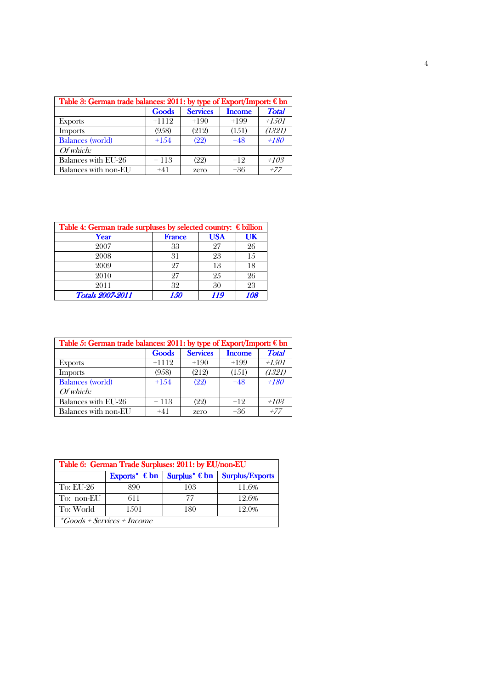| Table 3: German trade balances: 2011: by type of Export/Import: €bn |         |                 |               |              |  |
|---------------------------------------------------------------------|---------|-----------------|---------------|--------------|--|
|                                                                     | Goods   | <b>Services</b> | <b>Income</b> | <b>Total</b> |  |
| <b>Exports</b>                                                      | $+1112$ | $+190$          | $+199$        | $+1501$      |  |
| <b>Imports</b>                                                      | (958)   | (212)           | (151)         | (1321)       |  |
| <b>Balances</b> (world)                                             | $+1.54$ | (22)            | $+48$         | $+180$       |  |
| Of which:                                                           |         |                 |               |              |  |
| Balances with EU-26                                                 | $+113$  | (22)            | $+12$         | $+103$       |  |
| Balances with non-EU                                                | $+41$   | zero            | +36           | $+77$        |  |

| Table 4: German trade surpluses by selected country: $\epsilon$ billion |               |            |     |  |  |
|-------------------------------------------------------------------------|---------------|------------|-----|--|--|
| Year                                                                    | <b>France</b> | <b>USA</b> | UK  |  |  |
| 2007                                                                    | 33            | 97         | 26  |  |  |
| 2008                                                                    | 31            | 23         | 15  |  |  |
| 2009                                                                    | 27            | 13         | 18  |  |  |
| 2010                                                                    | 27            | 25         | 26  |  |  |
| 2011                                                                    | 32            | 30         | 23  |  |  |
| <b>Totals 2007-2011</b>                                                 | 1.50          | 119        | 108 |  |  |

| Table 5: German trade balances: 2011: by type of Export/Import: €bn |         |                 |               |              |  |
|---------------------------------------------------------------------|---------|-----------------|---------------|--------------|--|
|                                                                     | Goods   | <b>Services</b> | <b>Income</b> | <b>Total</b> |  |
| <b>Exports</b>                                                      | $+1112$ | $+190$          | $+199$        | $+1501$      |  |
| <b>Imports</b>                                                      | (958)   | (212)           | (151)         | (1321)       |  |
| <b>Balances</b> (world)                                             | $+1.54$ | (22)            | $+48$         | $+180$       |  |
| Of which:                                                           |         |                 |               |              |  |
| Balances with EU-26                                                 | $+113$  | (22)            | $+12$         | $+103$       |  |
| Balances with non-EU                                                | $+41$   | zero            | $+36$         | $+77$        |  |

| Table 6: German Trade Surpluses: 2011: by EU/non-EU |       |     |                                                         |  |  |  |
|-----------------------------------------------------|-------|-----|---------------------------------------------------------|--|--|--|
|                                                     |       |     | Exports* $\in$ bn   Surplus* $\in$ bn   Surplus/Exports |  |  |  |
| To: EU-26                                           | 890   | 103 | 11.6%                                                   |  |  |  |
| To: non-EU                                          | 611   | 77  | 12.6%                                                   |  |  |  |
| To: World                                           | 1.501 | 180 | 12.0%                                                   |  |  |  |
| <i>*Goods + Services + Income</i>                   |       |     |                                                         |  |  |  |